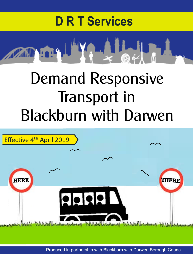



## Demand Responsive Transport in Blackburn with Darwen



Produced in partnership with Blackburn with Darwen Borough Council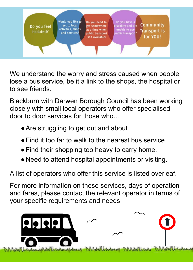Would you like to Do you need to Do you have a **Community** get to local disability and are Do you feel get somewhere activities, shops at a time when unable to use **Transport is** isolated? and services? public transport? public transport for YOU! isn't available?

We understand the worry and stress caused when people lose a bus service, be it a link to the shops, the hospital or to see friends.

Blackburn with Darwen Borough Council has been working closely with small local operators who offer specialised door to door services for those who…

- Are struggling to get out and about.
- Find it too far to walk to the nearest bus service.
- Find their shopping too heavy to carry home.
- Need to attend hospital appointments or visiting.

A list of operators who offer this service is listed overleaf.

For more information on these services, days of operation and fares, please contact the relevant operator in terms of your specific requirements and needs.

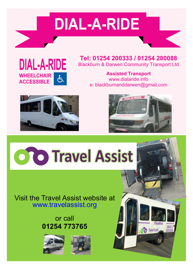## **DIAL-A-RIDE**



**Tel: 01254 200333 / 01254 200088** Blackburn & Darwen Community Transport Ltd

> **Assisted Transport** www.dialaride.info *e*: blackburnanddarwen@gmail.com





Flexibu

Travel Assist

# **O O Travel Assist**

#### Visit the Travel Assist website at www.travelassist.org

### or call **01254 773765**